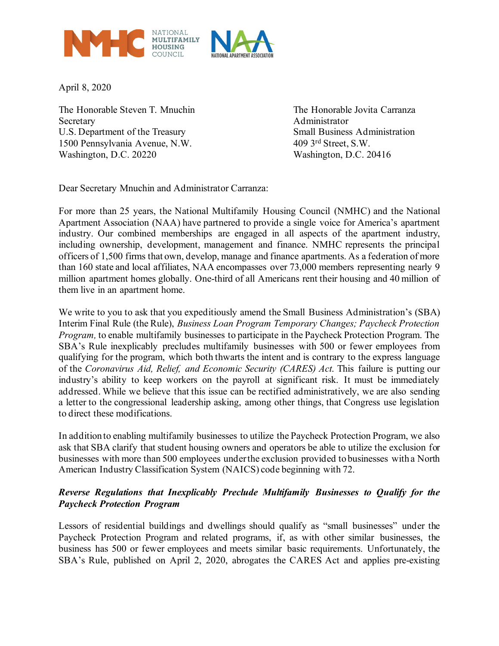

April 8, 2020

The Honorable Steven T. Mnuchin The Honorable Jovita Carranza Secretary Administrator U.S. Department of the Treasury Small Business Administration 1500 Pennsylvania Avenue, N.W. 409 3rd Street, S.W. Washington, D.C. 20220 Washington, D.C. 20416

Dear Secretary Mnuchin and Administrator Carranza:

For more than 25 years, the National Multifamily Housing Council (NMHC) and the National Apartment Association (NAA) have partnered to provide a single voice for America's apartment industry. Our combined memberships are engaged in all aspects of the apartment industry, including ownership, development, management and finance. NMHC represents the principal officers of 1,500 firms that own, develop, manage and finance apartments. As a federation of more than 160 state and local affiliates, NAA encompasses over 73,000 members representing nearly 9 million apartment homes globally. One-third of all Americans rent their housing and 40 million of them live in an apartment home.

We write to you to ask that you expeditiously amend the Small Business Administration's (SBA) Interim Final Rule (the Rule), *Business Loan Program Temporary Changes; Paycheck Protection Program,* to enable multifamily businesses to participate in the Paycheck Protection Program. The SBA's Rule inexplicably precludes multifamily businesses with 500 or fewer employees from qualifying for the program, which both thwarts the intent and is contrary to the express language of the *Coronavirus Aid, Relief, and Economic Security (CARES) Act*. This failure is putting our industry's ability to keep workers on the payroll at significant risk. It must be immediately addressed. While we believe that this issue can be rectified administratively, we are also sending a letter to the congressional leadership asking, among other things, that Congress use legislation to direct these modifications.

In addition to enabling multifamily businesses to utilize the Paycheck Protection Program, we also ask that SBA clarify that student housing owners and operators be able to utilize the exclusion for businesses with more than 500 employees under the exclusion provided to businesses with a North American Industry Classification System (NAICS) code beginning with 72.

## *Reverse Regulations that Inexplicably Preclude Multifamily Businesses to Qualify for the Paycheck Protection Program*

Lessors of residential buildings and dwellings should qualify as "small businesses" under the Paycheck Protection Program and related programs, if, as with other similar businesses, the business has 500 or fewer employees and meets similar basic requirements. Unfortunately, the SBA's Rule, published on April 2, 2020, abrogates the CARES Act and applies pre-existing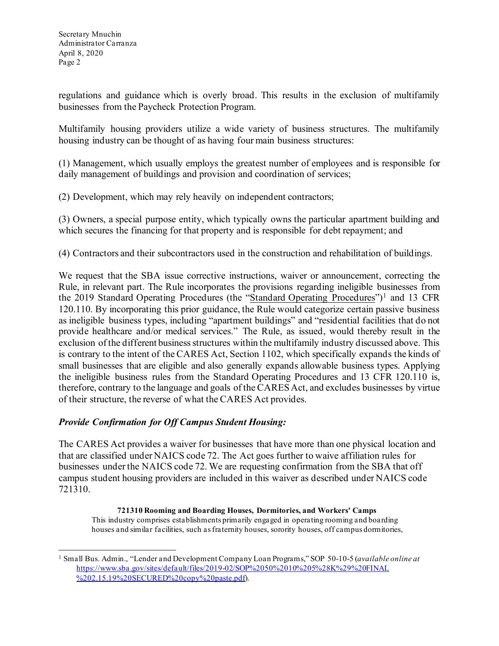regulations and guidance which is overly broad. This results in the exclusion of multifamily businesses from the Paycheck Protection Program.

Multifamily housing providers utilize a wide variety of business structures. The multifamily housing industry can be thought of as having four main business structures:

(1) Management, which usually employs the greatest number of employees and is responsible for daily management of buildings and provision and coordination of services;

(2) Development, which may rely heavily on independent contractors;

(3) Owners, a special purpose entity, which typically owns the particular apartment building and which secures the financing for that property and is responsible for debt repayment; and

(4) Contractors and their subcontractors used in the construction and rehabilitation of buildings.

We request that the SBA issue corrective instructions, waiver or announcement, correcting the Rule, in relevant part. The Rule incorporates the provisions regarding ineligible businesses from the 20[1](#page-1-0)9 Standard Operating Procedures (the "Standard Operating Procedures")<sup>1</sup> and 13 CFR 120.110. By incorporating this prior guidance, the Rule would categorize certain passive business as ineligible business types, including "apartment buildings" and "residential facilities that do not provide healthcare and/or medical services." The Rule, as issued, would thereby result in the exclusion of the different business structures within the multifamily industry discussed above. This is contrary to the intent of the CARES Act, Section 1102, which specifically expands the kinds of small businesses that are eligible and also generally expands allowable business types. Applying the ineligible business rules from the Standard Operating Procedures and 13 CFR 120.110 is, therefore, contrary to the language and goals of the CARES Act, and excludes businesses by virtue of their structure, the reverse of what the CARES Act provides.

## *Provide Confirmation for Off Campus Student Housing:*

The CARES Act provides a waiver for businesses that have more than one physical location and that are classified under NAICS code 72. The Act goes further to waive affiliation rules for businesses under the NAICS code 72. We are requesting confirmation from the SBA that off campus student housing providers are included in this waiver as described under NAICS code 721310.

**721310 Rooming and Boarding Houses, Dormitories, and Workers' Camps**  This industry comprises establishments primarily engaged in operating rooming and boarding houses and similar facilities, such as fraternity houses, sorority houses, off campus dormitories,

<span id="page-1-0"></span><sup>1</sup> Small Bus. Admin., "Lender and Development Company Loan Programs," SOP 50-10-5 (*available online at* [https://www.sba.gov/sites/default/files/2019-02/SOP%2050%2010%205%28K%29%20FINAL](https://www.sba.gov/sites/default/files/2019-02/SOP%2050%2010%205%28K%29%20FINAL%20%202.15.19%20SECURED%20copy%20paste.pdf)  [%202.15.19%20SECURED%20copy%20paste.pdf\)](https://www.sba.gov/sites/default/files/2019-02/SOP%2050%2010%205%28K%29%20FINAL%20%202.15.19%20SECURED%20copy%20paste.pdf).